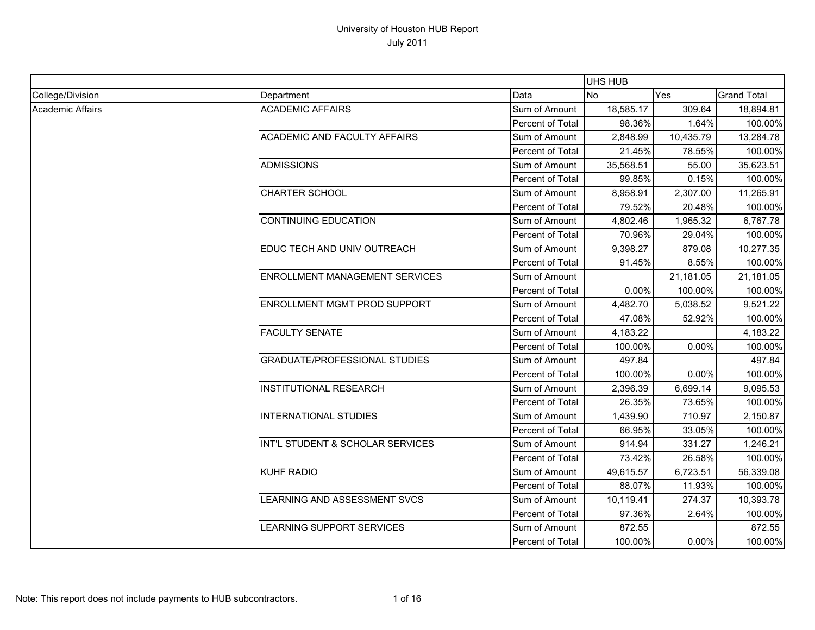|                  |                                       |                  | UHS HUB   |           |                    |
|------------------|---------------------------------------|------------------|-----------|-----------|--------------------|
| College/Division | Department                            | Data             | No        | Yes       | <b>Grand Total</b> |
| Academic Affairs | <b>ACADEMIC AFFAIRS</b>               | Sum of Amount    | 18,585.17 | 309.64    | 18,894.81          |
|                  |                                       | Percent of Total | 98.36%    | 1.64%     | 100.00%            |
|                  | ACADEMIC AND FACULTY AFFAIRS          | Sum of Amount    | 2,848.99  | 10,435.79 | 13,284.78          |
|                  |                                       | Percent of Total | 21.45%    | 78.55%    | 100.00%            |
|                  | <b>ADMISSIONS</b>                     | Sum of Amount    | 35,568.51 | 55.00     | 35,623.51          |
|                  |                                       | Percent of Total | 99.85%    | 0.15%     | 100.00%            |
|                  | <b>CHARTER SCHOOL</b>                 | Sum of Amount    | 8,958.91  | 2,307.00  | 11,265.91          |
|                  |                                       | Percent of Total | 79.52%    | 20.48%    | 100.00%            |
|                  | <b>CONTINUING EDUCATION</b>           | Sum of Amount    | 4,802.46  | 1,965.32  | 6,767.78           |
|                  |                                       | Percent of Total | 70.96%    | 29.04%    | 100.00%            |
|                  | EDUC TECH AND UNIV OUTREACH           | Sum of Amount    | 9,398.27  | 879.08    | 10,277.35          |
|                  |                                       | Percent of Total | 91.45%    | 8.55%     | 100.00%            |
|                  | <b>ENROLLMENT MANAGEMENT SERVICES</b> | Sum of Amount    |           | 21,181.05 | 21,181.05          |
|                  |                                       | Percent of Total | 0.00%     | 100.00%   | 100.00%            |
|                  | <b>ENROLLMENT MGMT PROD SUPPORT</b>   | Sum of Amount    | 4,482.70  | 5,038.52  | 9,521.22           |
|                  |                                       | Percent of Total | 47.08%    | 52.92%    | 100.00%            |
|                  | <b>FACULTY SENATE</b>                 | Sum of Amount    | 4,183.22  |           | 4,183.22           |
|                  |                                       | Percent of Total | 100.00%   | 0.00%     | 100.00%            |
|                  | <b>GRADUATE/PROFESSIONAL STUDIES</b>  | Sum of Amount    | 497.84    |           | 497.84             |
|                  |                                       | Percent of Total | 100.00%   | 0.00%     | 100.00%            |
|                  | <b>INSTITUTIONAL RESEARCH</b>         | Sum of Amount    | 2,396.39  | 6,699.14  | 9,095.53           |
|                  |                                       | Percent of Total | 26.35%    | 73.65%    | 100.00%            |
|                  | INTERNATIONAL STUDIES                 | Sum of Amount    | 1,439.90  | 710.97    | 2,150.87           |
|                  |                                       | Percent of Total | 66.95%    | 33.05%    | 100.00%            |
|                  | INT'L STUDENT & SCHOLAR SERVICES      | Sum of Amount    | 914.94    | 331.27    | 1,246.21           |
|                  |                                       | Percent of Total | 73.42%    | 26.58%    | 100.00%            |
|                  | <b>KUHF RADIO</b>                     | Sum of Amount    | 49,615.57 | 6,723.51  | 56,339.08          |
|                  |                                       | Percent of Total | 88.07%    | 11.93%    | 100.00%            |
|                  | LEARNING AND ASSESSMENT SVCS          | Sum of Amount    | 10,119.41 | 274.37    | 10,393.78          |
|                  |                                       | Percent of Total | 97.36%    | 2.64%     | 100.00%            |
|                  | LEARNING SUPPORT SERVICES             | Sum of Amount    | 872.55    |           | 872.55             |
|                  |                                       | Percent of Total | 100.00%   | $0.00\%$  | 100.00%            |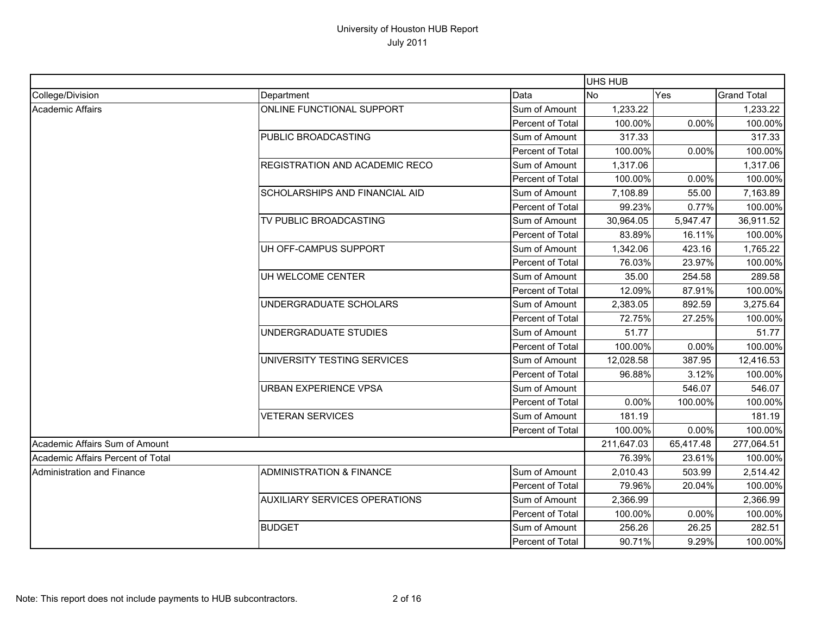|                                   |                                      |                         | UHS HUB    |           |                    |
|-----------------------------------|--------------------------------------|-------------------------|------------|-----------|--------------------|
| College/Division                  | Department                           | Data                    | <b>No</b>  | Yes       | <b>Grand Total</b> |
| <b>Academic Affairs</b>           | ONLINE FUNCTIONAL SUPPORT            | Sum of Amount           | 1,233.22   |           | 1,233.22           |
|                                   |                                      | Percent of Total        | 100.00%    | 0.00%     | 100.00%            |
|                                   | PUBLIC BROADCASTING                  | Sum of Amount           | 317.33     |           | 317.33             |
|                                   |                                      | <b>Percent of Total</b> | 100.00%    | 0.00%     | 100.00%            |
|                                   | REGISTRATION AND ACADEMIC RECO       | Sum of Amount           | 1,317.06   |           | 1,317.06           |
|                                   |                                      | Percent of Total        | 100.00%    | 0.00%     | 100.00%            |
|                                   | SCHOLARSHIPS AND FINANCIAL AID       | Sum of Amount           | 7,108.89   | 55.00     | 7,163.89           |
|                                   |                                      | Percent of Total        | 99.23%     | 0.77%     | 100.00%            |
|                                   | TV PUBLIC BROADCASTING               | Sum of Amount           | 30,964.05  | 5,947.47  | 36,911.52          |
|                                   |                                      | Percent of Total        | 83.89%     | 16.11%    | 100.00%            |
|                                   | UH OFF-CAMPUS SUPPORT                | Sum of Amount           | 1,342.06   | 423.16    | 1,765.22           |
|                                   |                                      | Percent of Total        | 76.03%     | 23.97%    | 100.00%            |
|                                   | UH WELCOME CENTER                    | Sum of Amount           | 35.00      | 254.58    | 289.58             |
|                                   |                                      | Percent of Total        | 12.09%     | 87.91%    | 100.00%            |
|                                   | UNDERGRADUATE SCHOLARS               | Sum of Amount           | 2,383.05   | 892.59    | 3,275.64           |
|                                   |                                      | Percent of Total        | 72.75%     | 27.25%    | 100.00%            |
|                                   | UNDERGRADUATE STUDIES                | Sum of Amount           | 51.77      |           | 51.77              |
|                                   |                                      | Percent of Total        | 100.00%    | 0.00%     | 100.00%            |
|                                   | UNIVERSITY TESTING SERVICES          | Sum of Amount           | 12,028.58  | 387.95    | 12,416.53          |
|                                   |                                      | Percent of Total        | 96.88%     | 3.12%     | 100.00%            |
|                                   | <b>URBAN EXPERIENCE VPSA</b>         | Sum of Amount           |            | 546.07    | 546.07             |
|                                   |                                      | Percent of Total        | 0.00%      | 100.00%   | 100.00%            |
|                                   | <b>VETERAN SERVICES</b>              | Sum of Amount           | 181.19     |           | 181.19             |
|                                   |                                      | Percent of Total        | 100.00%    | 0.00%     | 100.00%            |
| Academic Affairs Sum of Amount    |                                      |                         | 211,647.03 | 65,417.48 | 277,064.51         |
| Academic Affairs Percent of Total |                                      |                         | 76.39%     | 23.61%    | 100.00%            |
| <b>Administration and Finance</b> | <b>ADMINISTRATION &amp; FINANCE</b>  | Sum of Amount           | 2,010.43   | 503.99    | 2,514.42           |
|                                   |                                      | Percent of Total        | 79.96%     | 20.04%    | 100.00%            |
|                                   | <b>AUXILIARY SERVICES OPERATIONS</b> | Sum of Amount           | 2,366.99   |           | 2,366.99           |
|                                   |                                      | Percent of Total        | 100.00%    | 0.00%     | 100.00%            |
|                                   | <b>BUDGET</b>                        | Sum of Amount           | 256.26     | 26.25     | 282.51             |
|                                   |                                      | Percent of Total        | 90.71%     | 9.29%     | 100.00%            |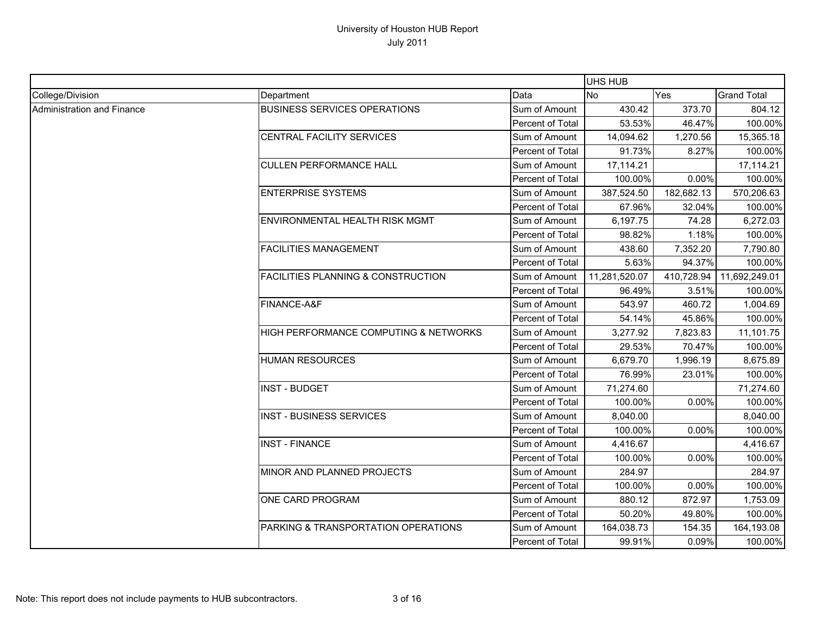|                            |                                               |                  | UHS HUB       |            |                    |
|----------------------------|-----------------------------------------------|------------------|---------------|------------|--------------------|
| College/Division           | Department                                    | Data             | No            | Yes        | <b>Grand Total</b> |
| Administration and Finance | <b>BUSINESS SERVICES OPERATIONS</b>           | Sum of Amount    | 430.42        | 373.70     | 804.12             |
|                            |                                               | Percent of Total | 53.53%        | 46.47%     | 100.00%            |
|                            | CENTRAL FACILITY SERVICES                     | Sum of Amount    | 14,094.62     | 1,270.56   | 15,365.18          |
|                            |                                               | Percent of Total | 91.73%        | 8.27%      | 100.00%            |
|                            | <b>CULLEN PERFORMANCE HALL</b>                | Sum of Amount    | 17,114.21     |            | 17,114.21          |
|                            |                                               | Percent of Total | 100.00%       | 0.00%      | 100.00%            |
|                            | <b>ENTERPRISE SYSTEMS</b>                     | Sum of Amount    | 387,524.50    | 182,682.13 | 570,206.63         |
|                            |                                               | Percent of Total | 67.96%        | 32.04%     | 100.00%            |
|                            | ENVIRONMENTAL HEALTH RISK MGMT                | Sum of Amount    | 6,197.75      | 74.28      | 6,272.03           |
|                            |                                               | Percent of Total | 98.82%        | 1.18%      | 100.00%            |
|                            | <b>FACILITIES MANAGEMENT</b>                  | Sum of Amount    | 438.60        | 7,352.20   | 7,790.80           |
|                            |                                               | Percent of Total | 5.63%         | 94.37%     | 100.00%            |
|                            | <b>FACILITIES PLANNING &amp; CONSTRUCTION</b> | Sum of Amount    | 11,281,520.07 | 410,728.94 | 11,692,249.01      |
|                            |                                               | Percent of Total | 96.49%        | 3.51%      | 100.00%            |
|                            | FINANCE-A&F                                   | Sum of Amount    | 543.97        | 460.72     | 1,004.69           |
|                            |                                               | Percent of Total | 54.14%        | 45.86%     | 100.00%            |
|                            | HIGH PERFORMANCE COMPUTING & NETWORKS         | Sum of Amount    | 3,277.92      | 7,823.83   | 11,101.75          |
|                            |                                               | Percent of Total | 29.53%        | 70.47%     | 100.00%            |
|                            | <b>HUMAN RESOURCES</b>                        | Sum of Amount    | 6,679.70      | 1,996.19   | 8,675.89           |
|                            |                                               | Percent of Total | 76.99%        | 23.01%     | 100.00%            |
|                            | <b>INST - BUDGET</b>                          | Sum of Amount    | 71,274.60     |            | 71,274.60          |
|                            |                                               | Percent of Total | 100.00%       | 0.00%      | 100.00%            |
|                            | <b>INST - BUSINESS SERVICES</b>               | Sum of Amount    | 8,040.00      |            | 8,040.00           |
|                            |                                               | Percent of Total | 100.00%       | 0.00%      | 100.00%            |
|                            | <b>INST - FINANCE</b>                         | Sum of Amount    | 4,416.67      |            | 4,416.67           |
|                            |                                               | Percent of Total | 100.00%       | 0.00%      | 100.00%            |
|                            | MINOR AND PLANNED PROJECTS                    | Sum of Amount    | 284.97        |            | 284.97             |
|                            |                                               | Percent of Total | 100.00%       | 0.00%      | 100.00%            |
|                            | ONE CARD PROGRAM                              | Sum of Amount    | 880.12        | 872.97     | 1,753.09           |
|                            |                                               | Percent of Total | 50.20%        | 49.80%     | 100.00%            |
|                            | PARKING & TRANSPORTATION OPERATIONS           | Sum of Amount    | 164,038.73    | 154.35     | 164,193.08         |
|                            |                                               | Percent of Total | 99.91%        | 0.09%      | 100.00%            |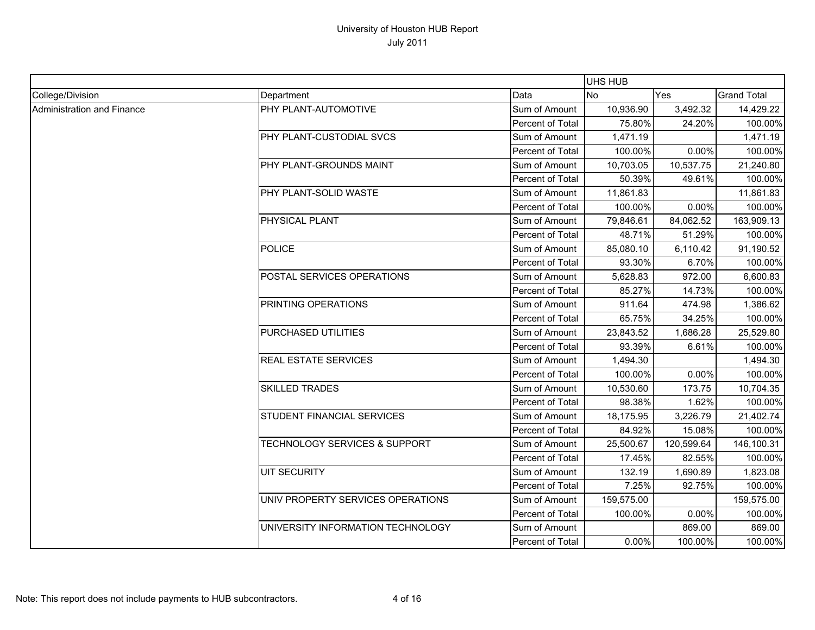|                            |                                   |                  | UHS HUB    |            |                    |
|----------------------------|-----------------------------------|------------------|------------|------------|--------------------|
| College/Division           | Department                        | Data             | <b>No</b>  | Yes        | <b>Grand Total</b> |
| Administration and Finance | PHY PLANT-AUTOMOTIVE              | Sum of Amount    | 10,936.90  | 3,492.32   | 14,429.22          |
|                            |                                   | Percent of Total | 75.80%     | 24.20%     | 100.00%            |
|                            | PHY PLANT-CUSTODIAL SVCS          | Sum of Amount    | 1,471.19   |            | 1,471.19           |
|                            |                                   | Percent of Total | 100.00%    | 0.00%      | 100.00%            |
|                            | PHY PLANT-GROUNDS MAINT           | Sum of Amount    | 10,703.05  | 10,537.75  | 21,240.80          |
|                            |                                   | Percent of Total | 50.39%     | 49.61%     | 100.00%            |
|                            | PHY PLANT-SOLID WASTE             | Sum of Amount    | 11,861.83  |            | 11,861.83          |
|                            |                                   | Percent of Total | 100.00%    | 0.00%      | 100.00%            |
|                            | PHYSICAL PLANT                    | Sum of Amount    | 79,846.61  | 84,062.52  | 163,909.13         |
|                            |                                   | Percent of Total | 48.71%     | 51.29%     | 100.00%            |
|                            | <b>POLICE</b>                     | Sum of Amount    | 85,080.10  | 6,110.42   | 91,190.52          |
|                            |                                   | Percent of Total | 93.30%     | 6.70%      | 100.00%            |
|                            | POSTAL SERVICES OPERATIONS        | Sum of Amount    | 5,628.83   | 972.00     | 6,600.83           |
|                            |                                   | Percent of Total | 85.27%     | 14.73%     | 100.00%            |
|                            | PRINTING OPERATIONS               | Sum of Amount    | 911.64     | 474.98     | 1,386.62           |
|                            |                                   | Percent of Total | 65.75%     | 34.25%     | 100.00%            |
|                            | PURCHASED UTILITIES               | Sum of Amount    | 23,843.52  | 1,686.28   | 25,529.80          |
|                            |                                   | Percent of Total | 93.39%     | 6.61%      | 100.00%            |
|                            | <b>REAL ESTATE SERVICES</b>       | Sum of Amount    | 1,494.30   |            | 1,494.30           |
|                            |                                   | Percent of Total | 100.00%    | 0.00%      | 100.00%            |
|                            | <b>SKILLED TRADES</b>             | Sum of Amount    | 10,530.60  | 173.75     | 10,704.35          |
|                            |                                   | Percent of Total | 98.38%     | 1.62%      | 100.00%            |
|                            | STUDENT FINANCIAL SERVICES        | Sum of Amount    | 18,175.95  | 3,226.79   | 21,402.74          |
|                            |                                   | Percent of Total | 84.92%     | 15.08%     | 100.00%            |
|                            | TECHNOLOGY SERVICES & SUPPORT     | Sum of Amount    | 25,500.67  | 120,599.64 | 146,100.31         |
|                            |                                   | Percent of Total | 17.45%     | 82.55%     | 100.00%            |
|                            | <b>UIT SECURITY</b>               | Sum of Amount    | 132.19     | 1,690.89   | 1,823.08           |
|                            |                                   | Percent of Total | 7.25%      | 92.75%     | 100.00%            |
|                            | UNIV PROPERTY SERVICES OPERATIONS | Sum of Amount    | 159,575.00 |            | 159,575.00         |
|                            |                                   | Percent of Total | 100.00%    | 0.00%      | 100.00%            |
|                            | UNIVERSITY INFORMATION TECHNOLOGY | Sum of Amount    |            | 869.00     | 869.00             |
|                            |                                   | Percent of Total | 0.00%      | 100.00%    | 100.00%            |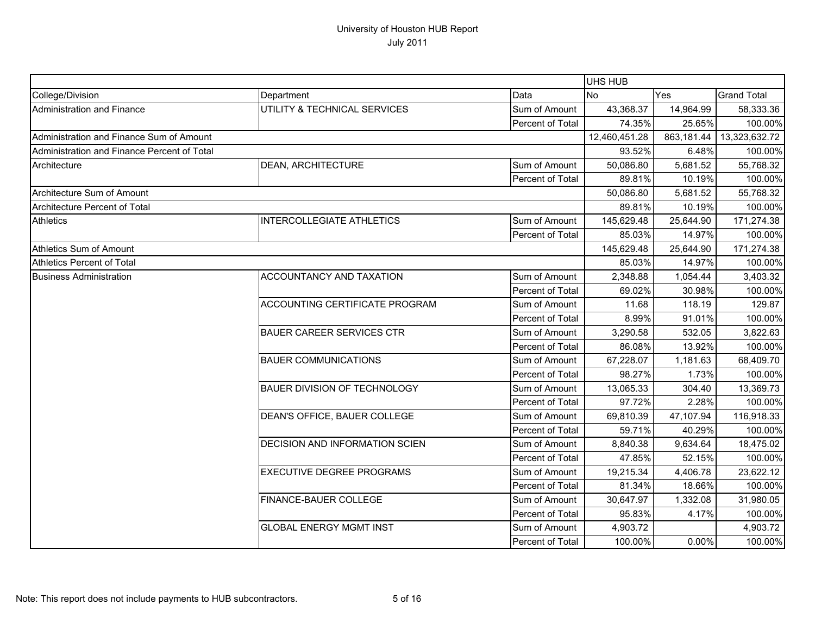|                                             |                                       |                  | UHS HUB       |            |                    |
|---------------------------------------------|---------------------------------------|------------------|---------------|------------|--------------------|
| College/Division                            | Department                            | Data             | <b>INo</b>    | Yes        | <b>Grand Total</b> |
| Administration and Finance                  | UTILITY & TECHNICAL SERVICES          | Sum of Amount    | 43,368.37     | 14,964.99  | 58,333.36          |
|                                             |                                       | Percent of Total | 74.35%        | 25.65%     | 100.00%            |
| Administration and Finance Sum of Amount    |                                       |                  | 12,460,451.28 | 863,181.44 | 13,323,632.72      |
| Administration and Finance Percent of Total |                                       |                  | 93.52%        | 6.48%      | 100.00%            |
| Architecture                                | <b>DEAN, ARCHITECTURE</b>             | Sum of Amount    | 50,086.80     | 5,681.52   | 55,768.32          |
|                                             |                                       | Percent of Total | 89.81%        | 10.19%     | 100.00%            |
| Architecture Sum of Amount                  |                                       |                  | 50,086.80     | 5,681.52   | 55,768.32          |
| Architecture Percent of Total               |                                       |                  | 89.81%        | 10.19%     | 100.00%            |
| <b>Athletics</b>                            | <b>INTERCOLLEGIATE ATHLETICS</b>      | Sum of Amount    | 145,629.48    | 25,644.90  | 171,274.38         |
|                                             |                                       | Percent of Total | 85.03%        | 14.97%     | 100.00%            |
| Athletics Sum of Amount                     |                                       |                  | 145,629.48    | 25,644.90  | 171,274.38         |
| Athletics Percent of Total                  |                                       |                  | 85.03%        | 14.97%     | 100.00%            |
| <b>Business Administration</b>              | ACCOUNTANCY AND TAXATION              | Sum of Amount    | 2,348.88      | 1,054.44   | 3,403.32           |
|                                             |                                       | Percent of Total | 69.02%        | 30.98%     | 100.00%            |
|                                             | ACCOUNTING CERTIFICATE PROGRAM        | Sum of Amount    | 11.68         | 118.19     | 129.87             |
|                                             |                                       | Percent of Total | 8.99%         | 91.01%     | 100.00%            |
|                                             | <b>BAUER CAREER SERVICES CTR</b>      | Sum of Amount    | 3,290.58      | 532.05     | 3,822.63           |
|                                             |                                       | Percent of Total | 86.08%        | 13.92%     | 100.00%            |
|                                             | <b>BAUER COMMUNICATIONS</b>           | Sum of Amount    | 67,228.07     | 1,181.63   | 68,409.70          |
|                                             |                                       | Percent of Total | 98.27%        | 1.73%      | 100.00%            |
|                                             | <b>BAUER DIVISION OF TECHNOLOGY</b>   | Sum of Amount    | 13,065.33     | 304.40     | 13,369.73          |
|                                             |                                       | Percent of Total | 97.72%        | 2.28%      | 100.00%            |
|                                             | DEAN'S OFFICE, BAUER COLLEGE          | Sum of Amount    | 69,810.39     | 47,107.94  | 116,918.33         |
|                                             |                                       | Percent of Total | 59.71%        | 40.29%     | 100.00%            |
|                                             | <b>DECISION AND INFORMATION SCIEN</b> | Sum of Amount    | 8,840.38      | 9,634.64   | 18,475.02          |
|                                             |                                       | Percent of Total | 47.85%        | 52.15%     | 100.00%            |
|                                             | <b>EXECUTIVE DEGREE PROGRAMS</b>      | Sum of Amount    | 19,215.34     | 4,406.78   | 23,622.12          |
|                                             |                                       | Percent of Total | 81.34%        | 18.66%     | 100.00%            |
|                                             | FINANCE-BAUER COLLEGE                 | Sum of Amount    | 30,647.97     | 1,332.08   | 31,980.05          |
|                                             |                                       | Percent of Total | 95.83%        | 4.17%      | 100.00%            |
|                                             | <b>GLOBAL ENERGY MGMT INST</b>        | Sum of Amount    | 4,903.72      |            | 4,903.72           |
|                                             |                                       | Percent of Total | 100.00%       | 0.00%      | 100.00%            |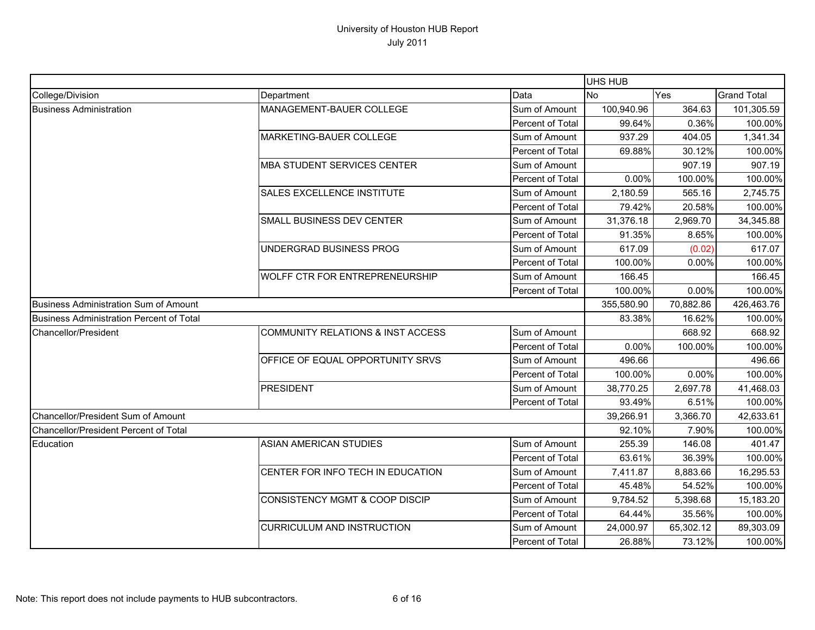|                                              |                                              |                  | UHS HUB    |           |                    |
|----------------------------------------------|----------------------------------------------|------------------|------------|-----------|--------------------|
| College/Division                             | Department                                   | Data             | <b>No</b>  | Yes       | <b>Grand Total</b> |
| <b>Business Administration</b>               | MANAGEMENT-BAUER COLLEGE                     | Sum of Amount    | 100,940.96 | 364.63    | 101,305.59         |
|                                              |                                              | Percent of Total | 99.64%     | 0.36%     | 100.00%            |
|                                              | MARKETING-BAUER COLLEGE                      | Sum of Amount    | 937.29     | 404.05    | 1,341.34           |
|                                              |                                              | Percent of Total | 69.88%     | 30.12%    | 100.00%            |
|                                              | <b>MBA STUDENT SERVICES CENTER</b>           | Sum of Amount    |            | 907.19    | 907.19             |
|                                              |                                              | Percent of Total | 0.00%      | 100.00%   | 100.00%            |
|                                              | SALES EXCELLENCE INSTITUTE                   | Sum of Amount    | 2,180.59   | 565.16    | 2,745.75           |
|                                              |                                              | Percent of Total | 79.42%     | 20.58%    | 100.00%            |
|                                              | SMALL BUSINESS DEV CENTER                    | Sum of Amount    | 31,376.18  | 2,969.70  | 34,345.88          |
|                                              |                                              | Percent of Total | 91.35%     | 8.65%     | 100.00%            |
|                                              | UNDERGRAD BUSINESS PROG                      | Sum of Amount    | 617.09     | (0.02)    | 617.07             |
|                                              |                                              | Percent of Total | 100.00%    | 0.00%     | 100.00%            |
|                                              | WOLFF CTR FOR ENTREPRENEURSHIP               | Sum of Amount    | 166.45     |           | 166.45             |
|                                              |                                              | Percent of Total | 100.00%    | 0.00%     | 100.00%            |
| <b>Business Administration Sum of Amount</b> |                                              |                  | 355,580.90 | 70,882.86 | 426,463.76         |
| Business Administration Percent of Total     |                                              |                  | 83.38%     | 16.62%    | 100.00%            |
| Chancellor/President                         | <b>COMMUNITY RELATIONS &amp; INST ACCESS</b> | Sum of Amount    |            | 668.92    | 668.92             |
|                                              |                                              | Percent of Total | 0.00%      | 100.00%   | 100.00%            |
|                                              | OFFICE OF EQUAL OPPORTUNITY SRVS             | Sum of Amount    | 496.66     |           | 496.66             |
|                                              |                                              | Percent of Total | 100.00%    | 0.00%     | 100.00%            |
|                                              | <b>PRESIDENT</b>                             | Sum of Amount    | 38,770.25  | 2,697.78  | 41,468.03          |
|                                              |                                              | Percent of Total | 93.49%     | 6.51%     | 100.00%            |
| Chancellor/President Sum of Amount           |                                              |                  | 39,266.91  | 3,366.70  | 42,633.61          |
| Chancellor/President Percent of Total        |                                              |                  | 92.10%     | 7.90%     | 100.00%            |
| Education                                    | <b>ASIAN AMERICAN STUDIES</b>                | Sum of Amount    | 255.39     | 146.08    | 401.47             |
|                                              |                                              | Percent of Total | 63.61%     | 36.39%    | 100.00%            |
|                                              | CENTER FOR INFO TECH IN EDUCATION            | Sum of Amount    | 7,411.87   | 8,883.66  | 16,295.53          |
|                                              |                                              | Percent of Total | 45.48%     | 54.52%    | 100.00%            |
|                                              | CONSISTENCY MGMT & COOP DISCIP               | Sum of Amount    | 9,784.52   | 5,398.68  | 15,183.20          |
|                                              |                                              | Percent of Total | 64.44%     | 35.56%    | 100.00%            |
|                                              | <b>CURRICULUM AND INSTRUCTION</b>            | Sum of Amount    | 24,000.97  | 65,302.12 | 89,303.09          |
|                                              |                                              | Percent of Total | 26.88%     | 73.12%    | 100.00%            |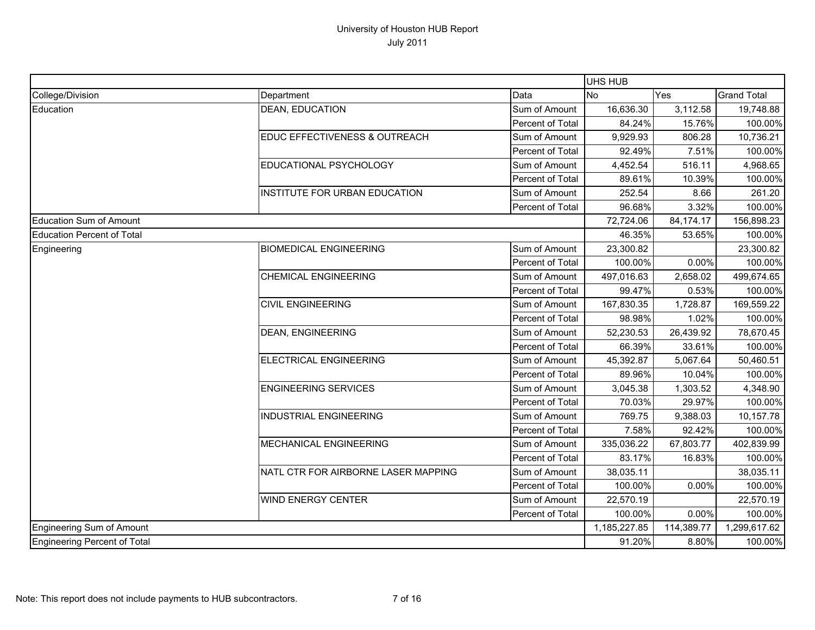|                                   |                                     |                  | UHS HUB      |            |                    |
|-----------------------------------|-------------------------------------|------------------|--------------|------------|--------------------|
| College/Division                  | Department                          | Data             | <b>No</b>    | Yes        | <b>Grand Total</b> |
| Education                         | <b>DEAN, EDUCATION</b>              | Sum of Amount    | 16,636.30    | 3,112.58   | 19,748.88          |
|                                   |                                     | Percent of Total | 84.24%       | 15.76%     | 100.00%            |
|                                   | EDUC EFFECTIVENESS & OUTREACH       | Sum of Amount    | 9,929.93     | 806.28     | 10,736.21          |
|                                   |                                     | Percent of Total | 92.49%       | 7.51%      | 100.00%            |
|                                   | EDUCATIONAL PSYCHOLOGY              | Sum of Amount    | 4,452.54     | 516.11     | 4,968.65           |
|                                   |                                     | Percent of Total | 89.61%       | 10.39%     | 100.00%            |
|                                   | INSTITUTE FOR URBAN EDUCATION       | Sum of Amount    | 252.54       | 8.66       | 261.20             |
|                                   |                                     | Percent of Total | 96.68%       | 3.32%      | 100.00%            |
| Education Sum of Amount           |                                     |                  | 72,724.06    | 84,174.17  | 156,898.23         |
| <b>Education Percent of Total</b> |                                     |                  | 46.35%       | 53.65%     | 100.00%            |
| Engineering                       | <b>BIOMEDICAL ENGINEERING</b>       | Sum of Amount    | 23,300.82    |            | 23,300.82          |
|                                   |                                     | Percent of Total | 100.00%      | 0.00%      | 100.00%            |
|                                   | <b>CHEMICAL ENGINEERING</b>         | Sum of Amount    | 497,016.63   | 2,658.02   | 499,674.65         |
|                                   |                                     | Percent of Total | 99.47%       | 0.53%      | 100.00%            |
|                                   | <b>CIVIL ENGINEERING</b>            | Sum of Amount    | 167,830.35   | 1,728.87   | 169,559.22         |
|                                   |                                     | Percent of Total | 98.98%       | 1.02%      | 100.00%            |
|                                   | <b>DEAN, ENGINEERING</b>            | Sum of Amount    | 52,230.53    | 26,439.92  | 78,670.45          |
|                                   |                                     | Percent of Total | 66.39%       | 33.61%     | 100.00%            |
|                                   | ELECTRICAL ENGINEERING              | Sum of Amount    | 45,392.87    | 5,067.64   | 50,460.51          |
|                                   |                                     | Percent of Total | 89.96%       | 10.04%     | 100.00%            |
|                                   | <b>ENGINEERING SERVICES</b>         | Sum of Amount    | 3,045.38     | 1,303.52   | 4,348.90           |
|                                   |                                     | Percent of Total | 70.03%       | 29.97%     | 100.00%            |
|                                   | <b>INDUSTRIAL ENGINEERING</b>       | Sum of Amount    | 769.75       | 9,388.03   | 10,157.78          |
|                                   |                                     | Percent of Total | 7.58%        | 92.42%     | 100.00%            |
|                                   | MECHANICAL ENGINEERING              | Sum of Amount    | 335,036.22   | 67,803.77  | 402,839.99         |
|                                   |                                     | Percent of Total | 83.17%       | 16.83%     | 100.00%            |
|                                   | NATL CTR FOR AIRBORNE LASER MAPPING | Sum of Amount    | 38,035.11    |            | 38,035.11          |
|                                   |                                     | Percent of Total | 100.00%      | 0.00%      | 100.00%            |
|                                   | <b>WIND ENERGY CENTER</b>           | Sum of Amount    | 22,570.19    |            | 22,570.19          |
|                                   |                                     | Percent of Total | 100.00%      | 0.00%      | 100.00%            |
| Engineering Sum of Amount         |                                     |                  | 1,185,227.85 | 114,389.77 | 1,299,617.62       |
| Engineering Percent of Total      |                                     |                  | 91.20%       | 8.80%      | 100.00%            |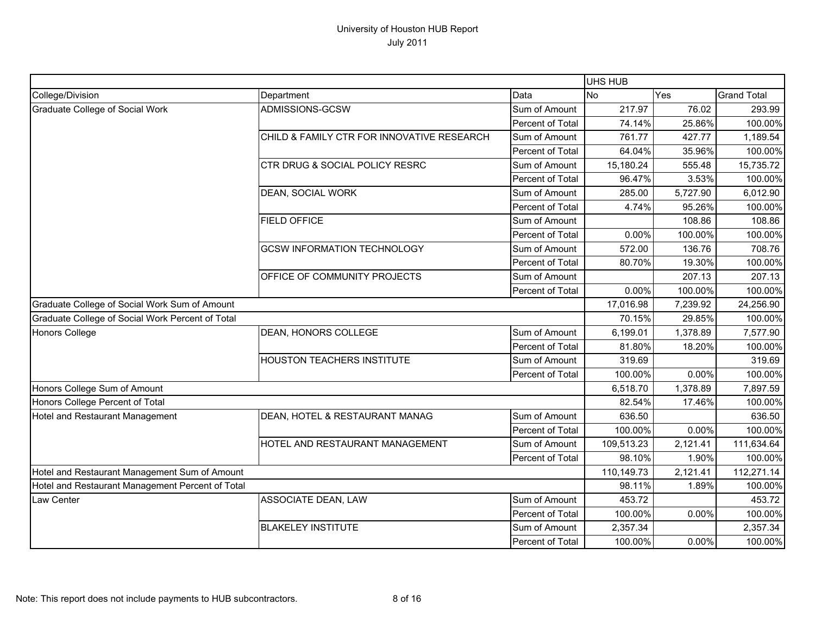|                                                  |                                            |                         | UHS HUB    |          |                    |
|--------------------------------------------------|--------------------------------------------|-------------------------|------------|----------|--------------------|
| College/Division                                 | Department                                 | Data                    | <b>No</b>  | Yes      | <b>Grand Total</b> |
| Graduate College of Social Work                  | ADMISSIONS-GCSW                            | Sum of Amount           | 217.97     | 76.02    | 293.99             |
|                                                  |                                            | <b>Percent of Total</b> | 74.14%     | 25.86%   | 100.00%            |
|                                                  | CHILD & FAMILY CTR FOR INNOVATIVE RESEARCH | Sum of Amount           | 761.77     | 427.77   | 1,189.54           |
|                                                  |                                            | Percent of Total        | 64.04%     | 35.96%   | 100.00%            |
|                                                  | CTR DRUG & SOCIAL POLICY RESRC             | Sum of Amount           | 15,180.24  | 555.48   | 15,735.72          |
|                                                  |                                            | Percent of Total        | 96.47%     | 3.53%    | 100.00%            |
|                                                  | <b>DEAN, SOCIAL WORK</b>                   | Sum of Amount           | 285.00     | 5,727.90 | 6,012.90           |
|                                                  |                                            | Percent of Total        | 4.74%      | 95.26%   | 100.00%            |
|                                                  | <b>FIELD OFFICE</b>                        | Sum of Amount           |            | 108.86   | 108.86             |
|                                                  |                                            | Percent of Total        | 0.00%      | 100.00%  | 100.00%            |
|                                                  | <b>GCSW INFORMATION TECHNOLOGY</b>         | Sum of Amount           | 572.00     | 136.76   | 708.76             |
|                                                  |                                            | Percent of Total        | 80.70%     | 19.30%   | 100.00%            |
|                                                  | OFFICE OF COMMUNITY PROJECTS               | Sum of Amount           |            | 207.13   | 207.13             |
|                                                  |                                            | Percent of Total        | 0.00%      | 100.00%  | 100.00%            |
| Graduate College of Social Work Sum of Amount    |                                            |                         | 17,016.98  | 7,239.92 | 24,256.90          |
| Graduate College of Social Work Percent of Total |                                            |                         | 70.15%     | 29.85%   | 100.00%            |
| <b>Honors College</b>                            | DEAN, HONORS COLLEGE                       | Sum of Amount           | 6,199.01   | 1,378.89 | 7,577.90           |
|                                                  |                                            | Percent of Total        | 81.80%     | 18.20%   | 100.00%            |
|                                                  | HOUSTON TEACHERS INSTITUTE                 | Sum of Amount           | 319.69     |          | 319.69             |
|                                                  |                                            | Percent of Total        | 100.00%    | 0.00%    | 100.00%            |
| Honors College Sum of Amount                     |                                            |                         | 6,518.70   | 1,378.89 | 7,897.59           |
| Honors College Percent of Total                  |                                            |                         | 82.54%     | 17.46%   | 100.00%            |
| Hotel and Restaurant Management                  | DEAN, HOTEL & RESTAURANT MANAG             | Sum of Amount           | 636.50     |          | 636.50             |
|                                                  |                                            | Percent of Total        | 100.00%    | 0.00%    | 100.00%            |
|                                                  | HOTEL AND RESTAURANT MANAGEMENT            | Sum of Amount           | 109,513.23 | 2,121.41 | 111,634.64         |
|                                                  |                                            | Percent of Total        | 98.10%     | 1.90%    | 100.00%            |
| Hotel and Restaurant Management Sum of Amount    |                                            |                         | 110,149.73 | 2,121.41 | 112,271.14         |
| Hotel and Restaurant Management Percent of Total |                                            |                         | 98.11%     | 1.89%    | 100.00%            |
| Law Center                                       | ASSOCIATE DEAN, LAW                        | Sum of Amount           | 453.72     |          | 453.72             |
|                                                  |                                            | Percent of Total        | 100.00%    | $0.00\%$ | 100.00%            |
|                                                  | <b>BLAKELEY INSTITUTE</b>                  | Sum of Amount           | 2,357.34   |          | 2,357.34           |
|                                                  |                                            | Percent of Total        | 100.00%    | 0.00%    | 100.00%            |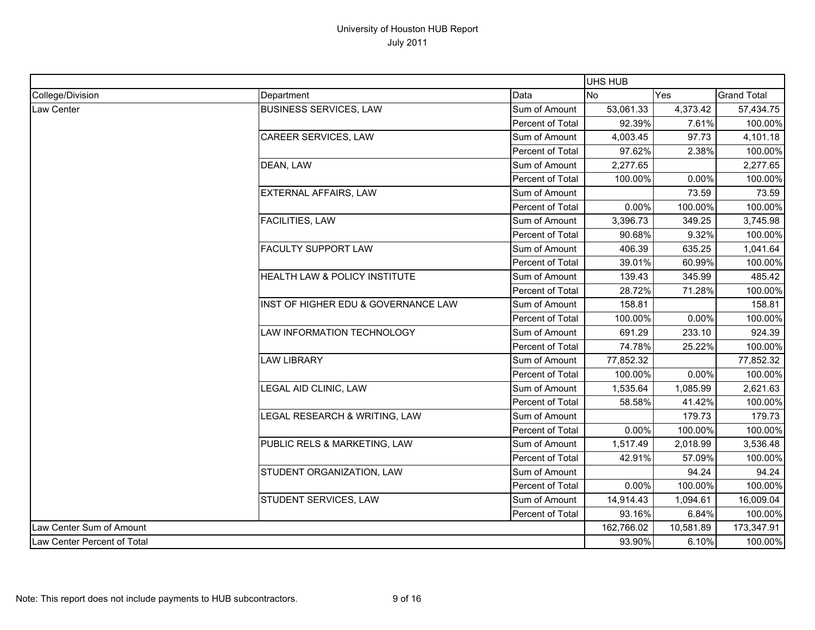|                             |                                     |                  | UHS HUB    |           |                    |
|-----------------------------|-------------------------------------|------------------|------------|-----------|--------------------|
| College/Division            | Department                          | Data             | <b>No</b>  | Yes       | <b>Grand Total</b> |
| <b>Law Center</b>           | <b>BUSINESS SERVICES, LAW</b>       | Sum of Amount    | 53,061.33  | 4,373.42  | 57,434.75          |
|                             |                                     | Percent of Total | 92.39%     | 7.61%     | 100.00%            |
|                             | CAREER SERVICES, LAW                | Sum of Amount    | 4,003.45   | 97.73     | 4,101.18           |
|                             |                                     | Percent of Total | 97.62%     | 2.38%     | 100.00%            |
|                             | DEAN, LAW                           | Sum of Amount    | 2,277.65   |           | 2,277.65           |
|                             |                                     | Percent of Total | 100.00%    | 0.00%     | 100.00%            |
|                             | EXTERNAL AFFAIRS, LAW               | Sum of Amount    |            | 73.59     | 73.59              |
|                             |                                     | Percent of Total | 0.00%      | 100.00%   | 100.00%            |
|                             | <b>FACILITIES, LAW</b>              | Sum of Amount    | 3,396.73   | 349.25    | 3,745.98           |
|                             |                                     | Percent of Total | 90.68%     | 9.32%     | 100.00%            |
|                             | <b>FACULTY SUPPORT LAW</b>          | Sum of Amount    | 406.39     | 635.25    | 1,041.64           |
|                             |                                     | Percent of Total | 39.01%     | 60.99%    | 100.00%            |
|                             | HEALTH LAW & POLICY INSTITUTE       | Sum of Amount    | 139.43     | 345.99    | 485.42             |
|                             |                                     | Percent of Total | 28.72%     | 71.28%    | 100.00%            |
|                             | INST OF HIGHER EDU & GOVERNANCE LAW | Sum of Amount    | 158.81     |           | 158.81             |
|                             |                                     | Percent of Total | 100.00%    | 0.00%     | 100.00%            |
|                             | LAW INFORMATION TECHNOLOGY          | Sum of Amount    | 691.29     | 233.10    | 924.39             |
|                             |                                     | Percent of Total | 74.78%     | 25.22%    | 100.00%            |
|                             | <b>LAW LIBRARY</b>                  | Sum of Amount    | 77,852.32  |           | 77,852.32          |
|                             |                                     | Percent of Total | 100.00%    | 0.00%     | 100.00%            |
|                             | LEGAL AID CLINIC, LAW               | Sum of Amount    | 1,535.64   | 1,085.99  | 2,621.63           |
|                             |                                     | Percent of Total | 58.58%     | 41.42%    | 100.00%            |
|                             | LEGAL RESEARCH & WRITING, LAW       | Sum of Amount    |            | 179.73    | 179.73             |
|                             |                                     | Percent of Total | 0.00%      | 100.00%   | 100.00%            |
|                             | PUBLIC RELS & MARKETING, LAW        | Sum of Amount    | 1,517.49   | 2,018.99  | 3,536.48           |
|                             |                                     | Percent of Total | 42.91%     | 57.09%    | 100.00%            |
|                             | STUDENT ORGANIZATION, LAW           | Sum of Amount    |            | 94.24     | 94.24              |
|                             |                                     | Percent of Total | 0.00%      | 100.00%   | 100.00%            |
|                             | STUDENT SERVICES, LAW               | Sum of Amount    | 14,914.43  | 1,094.61  | 16,009.04          |
|                             |                                     | Percent of Total | 93.16%     | 6.84%     | 100.00%            |
| Law Center Sum of Amount    |                                     |                  | 162,766.02 | 10,581.89 | 173,347.91         |
| Law Center Percent of Total |                                     |                  | 93.90%     | 6.10%     | 100.00%            |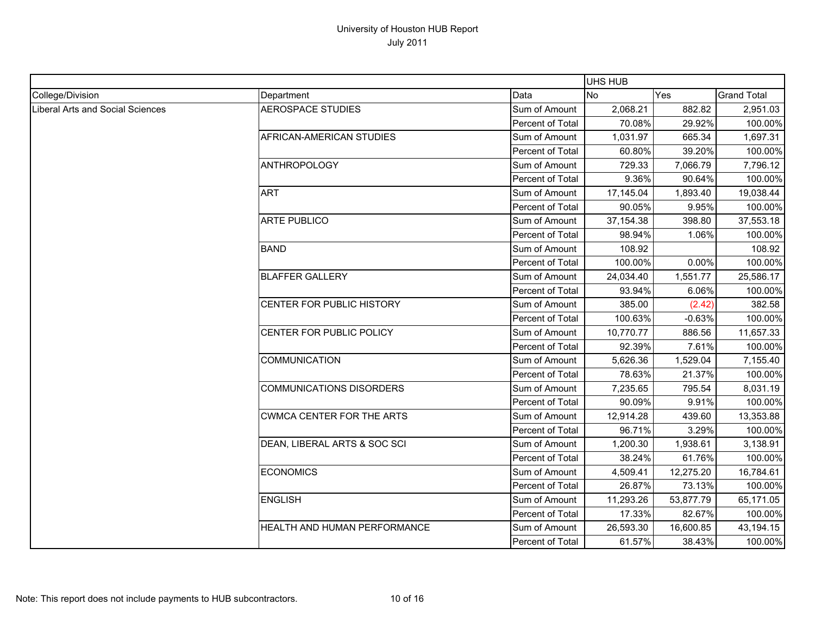|                                  |                                  |                  | <b>UHS HUB</b> |           |                    |
|----------------------------------|----------------------------------|------------------|----------------|-----------|--------------------|
| College/Division                 | Department                       | Data             | <b>No</b>      | Yes       | <b>Grand Total</b> |
| Liberal Arts and Social Sciences | <b>AEROSPACE STUDIES</b>         | Sum of Amount    | 2,068.21       | 882.82    | 2,951.03           |
|                                  |                                  | Percent of Total | 70.08%         | 29.92%    | 100.00%            |
|                                  | AFRICAN-AMERICAN STUDIES         | Sum of Amount    | 1,031.97       | 665.34    | 1,697.31           |
|                                  |                                  | Percent of Total | 60.80%         | 39.20%    | 100.00%            |
|                                  | <b>ANTHROPOLOGY</b>              | Sum of Amount    | 729.33         | 7,066.79  | 7,796.12           |
|                                  |                                  | Percent of Total | 9.36%          | 90.64%    | 100.00%            |
|                                  | <b>ART</b>                       | Sum of Amount    | 17,145.04      | 1,893.40  | 19,038.44          |
|                                  |                                  | Percent of Total | 90.05%         | 9.95%     | 100.00%            |
|                                  | ARTE PUBLICO                     | Sum of Amount    | 37, 154. 38    | 398.80    | 37,553.18          |
|                                  |                                  | Percent of Total | 98.94%         | 1.06%     | 100.00%            |
|                                  | <b>BAND</b>                      | Sum of Amount    | 108.92         |           | 108.92             |
|                                  |                                  | Percent of Total | 100.00%        | 0.00%     | 100.00%            |
|                                  | <b>BLAFFER GALLERY</b>           | Sum of Amount    | 24,034.40      | 1,551.77  | 25,586.17          |
|                                  |                                  | Percent of Total | 93.94%         | 6.06%     | 100.00%            |
|                                  | CENTER FOR PUBLIC HISTORY        | Sum of Amount    | 385.00         | (2.42)    | 382.58             |
|                                  |                                  | Percent of Total | 100.63%        | $-0.63%$  | 100.00%            |
|                                  | CENTER FOR PUBLIC POLICY         | Sum of Amount    | 10,770.77      | 886.56    | 11,657.33          |
|                                  |                                  | Percent of Total | 92.39%         | 7.61%     | 100.00%            |
|                                  | <b>COMMUNICATION</b>             | Sum of Amount    | 5,626.36       | 1,529.04  | 7,155.40           |
|                                  |                                  | Percent of Total | 78.63%         | 21.37%    | 100.00%            |
|                                  | <b>COMMUNICATIONS DISORDERS</b>  | Sum of Amount    | 7,235.65       | 795.54    | 8,031.19           |
|                                  |                                  | Percent of Total | 90.09%         | 9.91%     | 100.00%            |
|                                  | <b>CWMCA CENTER FOR THE ARTS</b> | Sum of Amount    | 12,914.28      | 439.60    | 13,353.88          |
|                                  |                                  | Percent of Total | 96.71%         | 3.29%     | 100.00%            |
|                                  | DEAN, LIBERAL ARTS & SOC SCI     | Sum of Amount    | 1,200.30       | 1,938.61  | 3,138.91           |
|                                  |                                  | Percent of Total | 38.24%         | 61.76%    | 100.00%            |
|                                  | <b>ECONOMICS</b>                 | Sum of Amount    | 4,509.41       | 12,275.20 | 16,784.61          |
|                                  |                                  | Percent of Total | 26.87%         | 73.13%    | 100.00%            |
|                                  | <b>ENGLISH</b>                   | Sum of Amount    | 11,293.26      | 53,877.79 | 65,171.05          |
|                                  |                                  | Percent of Total | 17.33%         | 82.67%    | 100.00%            |
|                                  | HEALTH AND HUMAN PERFORMANCE     | Sum of Amount    | 26,593.30      | 16,600.85 | 43,194.15          |
|                                  |                                  | Percent of Total | 61.57%         | 38.43%    | 100.00%            |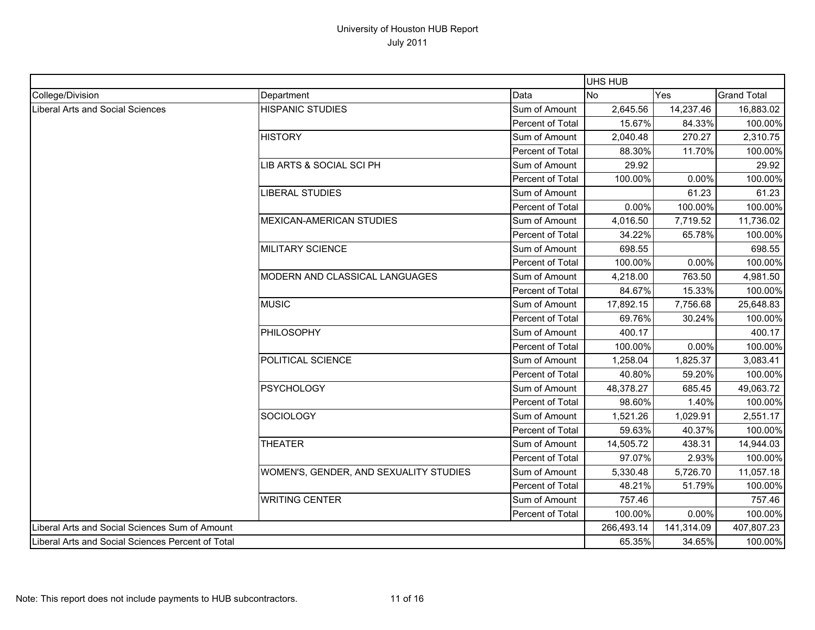|                                                   |                                        |                         | UHS HUB    |            |                    |
|---------------------------------------------------|----------------------------------------|-------------------------|------------|------------|--------------------|
| College/Division                                  | Department                             | Data                    | <b>No</b>  | Yes        | <b>Grand Total</b> |
| Liberal Arts and Social Sciences                  | <b>HISPANIC STUDIES</b>                | Sum of Amount           | 2,645.56   | 14,237.46  | 16,883.02          |
|                                                   |                                        | <b>Percent of Total</b> | 15.67%     | 84.33%     | 100.00%            |
|                                                   | <b>HISTORY</b>                         | Sum of Amount           | 2,040.48   | 270.27     | 2,310.75           |
|                                                   |                                        | Percent of Total        | 88.30%     | 11.70%     | 100.00%            |
|                                                   | LIB ARTS & SOCIAL SCI PH               | Sum of Amount           | 29.92      |            | 29.92              |
|                                                   |                                        | Percent of Total        | 100.00%    | 0.00%      | 100.00%            |
|                                                   | <b>LIBERAL STUDIES</b>                 | Sum of Amount           |            | 61.23      | 61.23              |
|                                                   |                                        | <b>Percent of Total</b> | 0.00%      | 100.00%    | 100.00%            |
|                                                   | <b>MEXICAN-AMERICAN STUDIES</b>        | Sum of Amount           | 4,016.50   | 7,719.52   | 11,736.02          |
|                                                   |                                        | Percent of Total        | 34.22%     | 65.78%     | 100.00%            |
|                                                   | <b>MILITARY SCIENCE</b>                | Sum of Amount           | 698.55     |            | 698.55             |
|                                                   |                                        | Percent of Total        | 100.00%    | 0.00%      | 100.00%            |
|                                                   | MODERN AND CLASSICAL LANGUAGES         | Sum of Amount           | 4,218.00   | 763.50     | 4,981.50           |
|                                                   |                                        | Percent of Total        | 84.67%     | 15.33%     | 100.00%            |
|                                                   | <b>MUSIC</b>                           | Sum of Amount           | 17,892.15  | 7,756.68   | 25,648.83          |
|                                                   |                                        | Percent of Total        | 69.76%     | 30.24%     | 100.00%            |
|                                                   | PHILOSOPHY                             | Sum of Amount           | 400.17     |            | 400.17             |
|                                                   |                                        | Percent of Total        | 100.00%    | 0.00%      | 100.00%            |
|                                                   | POLITICAL SCIENCE                      | Sum of Amount           | 1,258.04   | 1,825.37   | 3,083.41           |
|                                                   |                                        | <b>Percent of Total</b> | 40.80%     | 59.20%     | 100.00%            |
|                                                   | <b>PSYCHOLOGY</b>                      | Sum of Amount           | 48,378.27  | 685.45     | 49,063.72          |
|                                                   |                                        | Percent of Total        | 98.60%     | 1.40%      | 100.00%            |
|                                                   | <b>SOCIOLOGY</b>                       | Sum of Amount           | 1,521.26   | 1,029.91   | 2,551.17           |
|                                                   |                                        | Percent of Total        | 59.63%     | 40.37%     | 100.00%            |
|                                                   | <b>THEATER</b>                         | Sum of Amount           | 14,505.72  | 438.31     | 14,944.03          |
|                                                   |                                        | Percent of Total        | 97.07%     | 2.93%      | 100.00%            |
|                                                   | WOMEN'S, GENDER, AND SEXUALITY STUDIES | Sum of Amount           | 5,330.48   | 5,726.70   | 11,057.18          |
|                                                   |                                        | Percent of Total        | 48.21%     | 51.79%     | 100.00%            |
|                                                   | <b>WRITING CENTER</b>                  | Sum of Amount           | 757.46     |            | 757.46             |
|                                                   |                                        | Percent of Total        | 100.00%    | 0.00%      | 100.00%            |
| Liberal Arts and Social Sciences Sum of Amount    |                                        |                         | 266,493.14 | 141,314.09 | 407,807.23         |
| Liberal Arts and Social Sciences Percent of Total |                                        |                         | 65.35%     | 34.65%     | 100.00%            |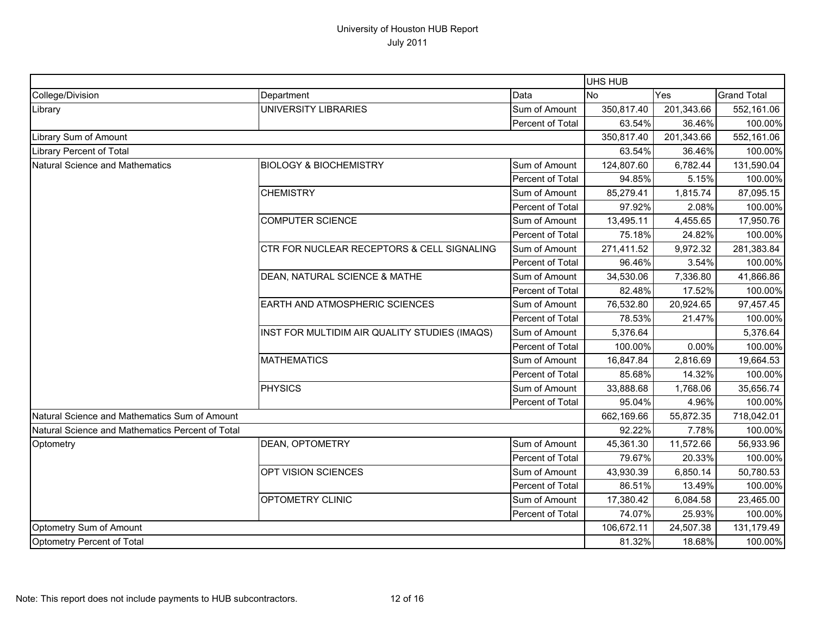|                                                  |                                               |                  | UHS HUB    |            |                    |
|--------------------------------------------------|-----------------------------------------------|------------------|------------|------------|--------------------|
| College/Division                                 | Department                                    | Data             | <b>No</b>  | Yes        | <b>Grand Total</b> |
| Library                                          | UNIVERSITY LIBRARIES                          | Sum of Amount    | 350,817.40 | 201,343.66 | 552,161.06         |
|                                                  |                                               | Percent of Total | 63.54%     | 36.46%     | 100.00%            |
| Library Sum of Amount                            |                                               |                  | 350,817.40 | 201,343.66 | 552,161.06         |
| <b>Library Percent of Total</b>                  |                                               |                  | 63.54%     | 36.46%     | 100.00%            |
| <b>Natural Science and Mathematics</b>           | <b>BIOLOGY &amp; BIOCHEMISTRY</b>             | Sum of Amount    | 124,807.60 | 6,782.44   | 131,590.04         |
|                                                  |                                               | Percent of Total | 94.85%     | 5.15%      | 100.00%            |
|                                                  | <b>CHEMISTRY</b>                              | Sum of Amount    | 85,279.41  | 1,815.74   | 87,095.15          |
|                                                  |                                               | Percent of Total | 97.92%     | 2.08%      | 100.00%            |
|                                                  | <b>COMPUTER SCIENCE</b>                       | Sum of Amount    | 13,495.11  | 4,455.65   | 17,950.76          |
|                                                  |                                               | Percent of Total | 75.18%     | 24.82%     | 100.00%            |
|                                                  | CTR FOR NUCLEAR RECEPTORS & CELL SIGNALING    | Sum of Amount    | 271,411.52 | 9,972.32   | 281,383.84         |
|                                                  |                                               | Percent of Total | 96.46%     | 3.54%      | 100.00%            |
|                                                  | DEAN, NATURAL SCIENCE & MATHE                 | Sum of Amount    | 34,530.06  | 7,336.80   | 41,866.86          |
|                                                  |                                               | Percent of Total | 82.48%     | 17.52%     | 100.00%            |
|                                                  | EARTH AND ATMOSPHERIC SCIENCES                | Sum of Amount    | 76,532.80  | 20,924.65  | 97,457.45          |
|                                                  |                                               | Percent of Total | 78.53%     | 21.47%     | 100.00%            |
|                                                  | INST FOR MULTIDIM AIR QUALITY STUDIES (IMAQS) | Sum of Amount    | 5,376.64   |            | 5,376.64           |
|                                                  |                                               | Percent of Total | 100.00%    | 0.00%      | 100.00%            |
|                                                  | <b>MATHEMATICS</b>                            | Sum of Amount    | 16,847.84  | 2,816.69   | 19,664.53          |
|                                                  |                                               | Percent of Total | 85.68%     | 14.32%     | 100.00%            |
|                                                  | <b>PHYSICS</b>                                | Sum of Amount    | 33,888.68  | 1,768.06   | 35,656.74          |
|                                                  |                                               | Percent of Total | 95.04%     | 4.96%      | 100.00%            |
| Natural Science and Mathematics Sum of Amount    |                                               |                  | 662,169.66 | 55,872.35  | 718,042.01         |
| Natural Science and Mathematics Percent of Total |                                               |                  | 92.22%     | 7.78%      | 100.00%            |
| Optometry                                        | DEAN, OPTOMETRY                               | Sum of Amount    | 45,361.30  | 11,572.66  | 56,933.96          |
|                                                  |                                               | Percent of Total | 79.67%     | 20.33%     | 100.00%            |
|                                                  | OPT VISION SCIENCES                           | Sum of Amount    | 43,930.39  | 6,850.14   | 50,780.53          |
|                                                  |                                               | Percent of Total | 86.51%     | 13.49%     | 100.00%            |
|                                                  | OPTOMETRY CLINIC                              | Sum of Amount    | 17,380.42  | 6,084.58   | 23,465.00          |
|                                                  |                                               | Percent of Total | 74.07%     | 25.93%     | 100.00%            |
| Optometry Sum of Amount                          |                                               |                  | 106,672.11 | 24,507.38  | 131,179.49         |
| Optometry Percent of Total                       |                                               |                  | 81.32%     | 18.68%     | 100.00%            |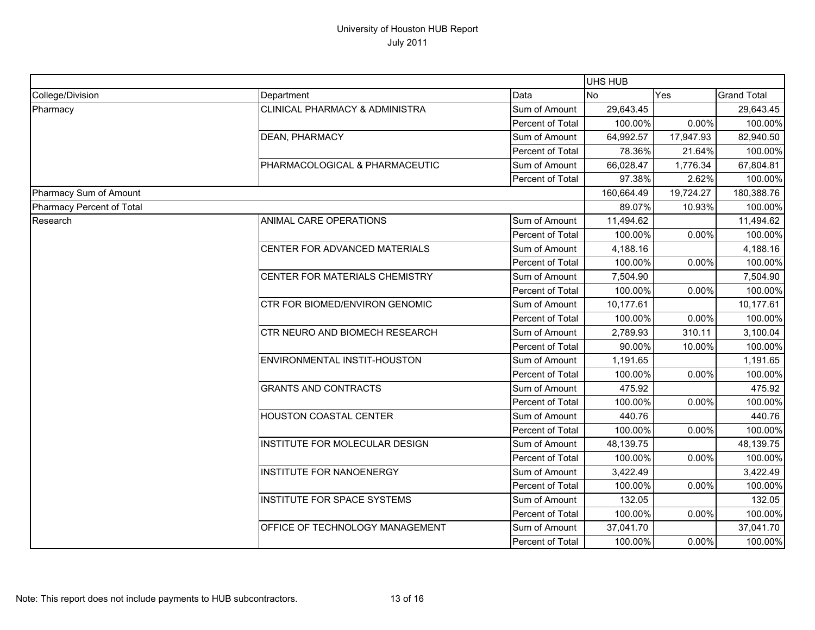|                           |                                           |                  | UHS HUB    |           |                    |
|---------------------------|-------------------------------------------|------------------|------------|-----------|--------------------|
| College/Division          | Department                                | Data             | <b>No</b>  | Yes       | <b>Grand Total</b> |
| Pharmacy                  | <b>CLINICAL PHARMACY &amp; ADMINISTRA</b> | Sum of Amount    | 29,643.45  |           | 29,643.45          |
|                           |                                           | Percent of Total | 100.00%    | 0.00%     | 100.00%            |
|                           | DEAN, PHARMACY                            | Sum of Amount    | 64,992.57  | 17,947.93 | 82,940.50          |
|                           |                                           | Percent of Total | 78.36%     | 21.64%    | 100.00%            |
|                           | PHARMACOLOGICAL & PHARMACEUTIC            | Sum of Amount    | 66,028.47  | 1,776.34  | 67,804.81          |
|                           |                                           | Percent of Total | 97.38%     | 2.62%     | 100.00%            |
| Pharmacy Sum of Amount    |                                           |                  | 160,664.49 | 19,724.27 | 180,388.76         |
| Pharmacy Percent of Total |                                           |                  | 89.07%     | 10.93%    | 100.00%            |
| Research                  | ANIMAL CARE OPERATIONS                    | Sum of Amount    | 11,494.62  |           | 11,494.62          |
|                           |                                           | Percent of Total | 100.00%    | 0.00%     | 100.00%            |
|                           | CENTER FOR ADVANCED MATERIALS             | Sum of Amount    | 4,188.16   |           | 4,188.16           |
|                           |                                           | Percent of Total | 100.00%    | 0.00%     | 100.00%            |
|                           | CENTER FOR MATERIALS CHEMISTRY            | Sum of Amount    | 7,504.90   |           | 7,504.90           |
|                           |                                           | Percent of Total | 100.00%    | 0.00%     | 100.00%            |
|                           | CTR FOR BIOMED/ENVIRON GENOMIC            | Sum of Amount    | 10,177.61  |           | 10,177.61          |
|                           |                                           | Percent of Total | 100.00%    | 0.00%     | 100.00%            |
|                           | CTR NEURO AND BIOMECH RESEARCH            | Sum of Amount    | 2,789.93   | 310.11    | 3,100.04           |
|                           |                                           | Percent of Total | 90.00%     | 10.00%    | 100.00%            |
|                           | ENVIRONMENTAL INSTIT-HOUSTON              | Sum of Amount    | 1,191.65   |           | 1,191.65           |
|                           |                                           | Percent of Total | 100.00%    | 0.00%     | 100.00%            |
|                           | <b>GRANTS AND CONTRACTS</b>               | Sum of Amount    | 475.92     |           | 475.92             |
|                           |                                           | Percent of Total | 100.00%    | 0.00%     | 100.00%            |
|                           | <b>HOUSTON COASTAL CENTER</b>             | Sum of Amount    | 440.76     |           | 440.76             |
|                           |                                           | Percent of Total | 100.00%    | 0.00%     | 100.00%            |
|                           | INSTITUTE FOR MOLECULAR DESIGN            | Sum of Amount    | 48,139.75  |           | 48,139.75          |
|                           |                                           | Percent of Total | 100.00%    | 0.00%     | 100.00%            |
|                           | INSTITUTE FOR NANOENERGY                  | Sum of Amount    | 3,422.49   |           | 3,422.49           |
|                           |                                           | Percent of Total | 100.00%    | 0.00%     | 100.00%            |
|                           | INSTITUTE FOR SPACE SYSTEMS               | Sum of Amount    | 132.05     |           | 132.05             |
|                           |                                           | Percent of Total | 100.00%    | 0.00%     | 100.00%            |
|                           | OFFICE OF TECHNOLOGY MANAGEMENT           | Sum of Amount    | 37,041.70  |           | 37,041.70          |
|                           |                                           | Percent of Total | 100.00%    | 0.00%     | 100.00%            |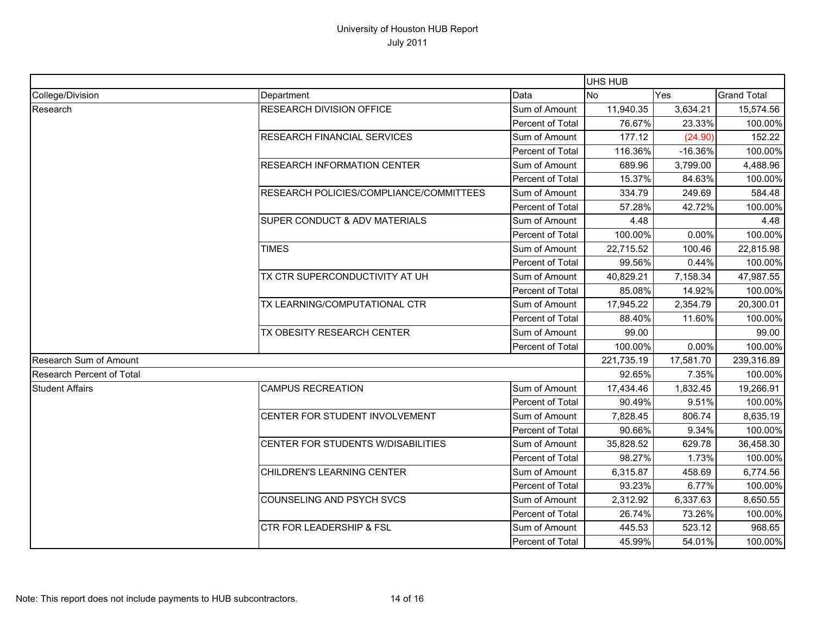|                                  |                                         |                  | <b>UHS HUB</b> |           |                    |
|----------------------------------|-----------------------------------------|------------------|----------------|-----------|--------------------|
| College/Division                 | Department                              | Data             | <b>No</b>      | Yes       | <b>Grand Total</b> |
| Research                         | RESEARCH DIVISION OFFICE                | Sum of Amount    | 11,940.35      | 3,634.21  | 15,574.56          |
|                                  |                                         | Percent of Total | 76.67%         | 23.33%    | 100.00%            |
|                                  | <b>RESEARCH FINANCIAL SERVICES</b>      | Sum of Amount    | 177.12         | (24.90)   | 152.22             |
|                                  |                                         | Percent of Total | 116.36%        | $-16.36%$ | 100.00%            |
|                                  | <b>RESEARCH INFORMATION CENTER</b>      | Sum of Amount    | 689.96         | 3,799.00  | 4,488.96           |
|                                  |                                         | Percent of Total | 15.37%         | 84.63%    | 100.00%            |
|                                  | RESEARCH POLICIES/COMPLIANCE/COMMITTEES | Sum of Amount    | 334.79         | 249.69    | 584.48             |
|                                  |                                         | Percent of Total | 57.28%         | 42.72%    | 100.00%            |
|                                  | SUPER CONDUCT & ADV MATERIALS           | Sum of Amount    | 4.48           |           | 4.48               |
|                                  |                                         | Percent of Total | 100.00%        | 0.00%     | 100.00%            |
|                                  | <b>TIMES</b>                            | Sum of Amount    | 22,715.52      | 100.46    | 22,815.98          |
|                                  |                                         | Percent of Total | 99.56%         | 0.44%     | 100.00%            |
|                                  | TX CTR SUPERCONDUCTIVITY AT UH          | Sum of Amount    | 40,829.21      | 7,158.34  | 47,987.55          |
|                                  |                                         | Percent of Total | 85.08%         | 14.92%    | 100.00%            |
|                                  | TX LEARNING/COMPUTATIONAL CTR           | Sum of Amount    | 17,945.22      | 2,354.79  | 20,300.01          |
|                                  |                                         | Percent of Total | 88.40%         | 11.60%    | 100.00%            |
|                                  | TX OBESITY RESEARCH CENTER              | Sum of Amount    | 99.00          |           | 99.00              |
|                                  |                                         | Percent of Total | 100.00%        | 0.00%     | 100.00%            |
| Research Sum of Amount           |                                         |                  | 221,735.19     | 17,581.70 | 239,316.89         |
| <b>Research Percent of Total</b> |                                         | 92.65%           | 7.35%          | 100.00%   |                    |
| <b>Student Affairs</b>           | <b>CAMPUS RECREATION</b>                | Sum of Amount    | 17,434.46      | 1,832.45  | 19,266.91          |
|                                  |                                         | Percent of Total | 90.49%         | 9.51%     | 100.00%            |
|                                  | CENTER FOR STUDENT INVOLVEMENT          | Sum of Amount    | 7,828.45       | 806.74    | 8,635.19           |
|                                  |                                         | Percent of Total | 90.66%         | 9.34%     | 100.00%            |
|                                  | CENTER FOR STUDENTS W/DISABILITIES      | Sum of Amount    | 35,828.52      | 629.78    | 36,458.30          |
|                                  |                                         | Percent of Total | 98.27%         | 1.73%     | 100.00%            |
|                                  | CHILDREN'S LEARNING CENTER              | Sum of Amount    | 6,315.87       | 458.69    | 6,774.56           |
|                                  |                                         | Percent of Total | 93.23%         | 6.77%     | 100.00%            |
|                                  | COUNSELING AND PSYCH SVCS               | Sum of Amount    | 2,312.92       | 6,337.63  | 8,650.55           |
|                                  |                                         | Percent of Total | 26.74%         | 73.26%    | 100.00%            |
|                                  | <b>CTR FOR LEADERSHIP &amp; FSL</b>     | Sum of Amount    | 445.53         | 523.12    | 968.65             |
|                                  |                                         | Percent of Total | 45.99%         | 54.01%    | 100.00%            |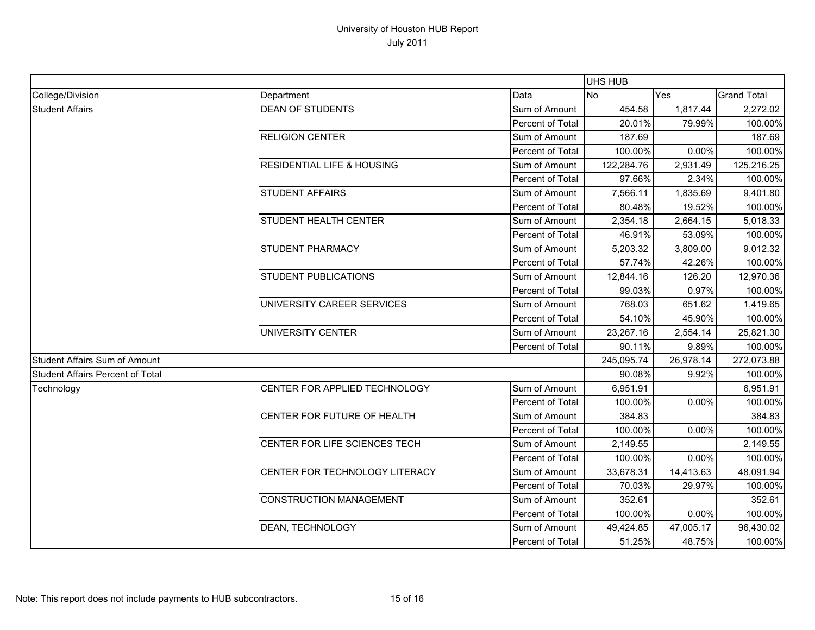|                                         |                                       |                         | UHS HUB    |           |                    |
|-----------------------------------------|---------------------------------------|-------------------------|------------|-----------|--------------------|
| College/Division                        | Department                            | Data                    | <b>No</b>  | Yes       | <b>Grand Total</b> |
| <b>Student Affairs</b>                  | <b>DEAN OF STUDENTS</b>               | Sum of Amount           | 454.58     | 1,817.44  | 2,272.02           |
|                                         |                                       | <b>Percent of Total</b> | 20.01%     | 79.99%    | 100.00%            |
|                                         | <b>RELIGION CENTER</b>                | Sum of Amount           | 187.69     |           | 187.69             |
|                                         |                                       | Percent of Total        | 100.00%    | 0.00%     | 100.00%            |
|                                         | <b>RESIDENTIAL LIFE &amp; HOUSING</b> | Sum of Amount           | 122,284.76 | 2,931.49  | 125,216.25         |
|                                         |                                       | <b>Percent of Total</b> | 97.66%     | 2.34%     | 100.00%            |
|                                         | <b>STUDENT AFFAIRS</b>                | Sum of Amount           | 7,566.11   | 1,835.69  | 9,401.80           |
|                                         |                                       | Percent of Total        | 80.48%     | 19.52%    | 100.00%            |
|                                         | STUDENT HEALTH CENTER                 | Sum of Amount           | 2,354.18   | 2,664.15  | 5,018.33           |
|                                         |                                       | Percent of Total        | 46.91%     | 53.09%    | 100.00%            |
|                                         | STUDENT PHARMACY                      | Sum of Amount           | 5,203.32   | 3,809.00  | 9,012.32           |
|                                         |                                       | Percent of Total        | 57.74%     | 42.26%    | 100.00%            |
|                                         | <b>STUDENT PUBLICATIONS</b>           | Sum of Amount           | 12,844.16  | 126.20    | 12,970.36          |
|                                         |                                       | Percent of Total        | 99.03%     | 0.97%     | 100.00%            |
|                                         | UNIVERSITY CAREER SERVICES            | Sum of Amount           | 768.03     | 651.62    | 1,419.65           |
|                                         |                                       | Percent of Total        | 54.10%     | 45.90%    | 100.00%            |
|                                         | UNIVERSITY CENTER                     | Sum of Amount           | 23,267.16  | 2,554.14  | 25,821.30          |
|                                         |                                       | Percent of Total        | 90.11%     | 9.89%     | 100.00%            |
| <b>Student Affairs Sum of Amount</b>    |                                       |                         | 245,095.74 | 26,978.14 | 272,073.88         |
| <b>Student Affairs Percent of Total</b> |                                       |                         | $90.08\%$  | 9.92%     | 100.00%            |
| Technology                              | CENTER FOR APPLIED TECHNOLOGY         | Sum of Amount           | 6,951.91   |           | 6,951.91           |
|                                         |                                       | Percent of Total        | 100.00%    | 0.00%     | 100.00%            |
|                                         | CENTER FOR FUTURE OF HEALTH           | Sum of Amount           | 384.83     |           | 384.83             |
|                                         |                                       | Percent of Total        | 100.00%    | 0.00%     | 100.00%            |
|                                         | CENTER FOR LIFE SCIENCES TECH         | Sum of Amount           | 2,149.55   |           | 2,149.55           |
|                                         |                                       | Percent of Total        | 100.00%    | 0.00%     | 100.00%            |
|                                         | CENTER FOR TECHNOLOGY LITERACY        | Sum of Amount           | 33,678.31  | 14,413.63 | 48,091.94          |
|                                         |                                       | Percent of Total        | 70.03%     | 29.97%    | 100.00%            |
|                                         | <b>CONSTRUCTION MANAGEMENT</b>        | Sum of Amount           | 352.61     |           | 352.61             |
|                                         |                                       | Percent of Total        | 100.00%    | 0.00%     | 100.00%            |
|                                         | DEAN, TECHNOLOGY                      | Sum of Amount           | 49,424.85  | 47,005.17 | 96,430.02          |
|                                         |                                       | Percent of Total        | 51.25%     | 48.75%    | 100.00%            |